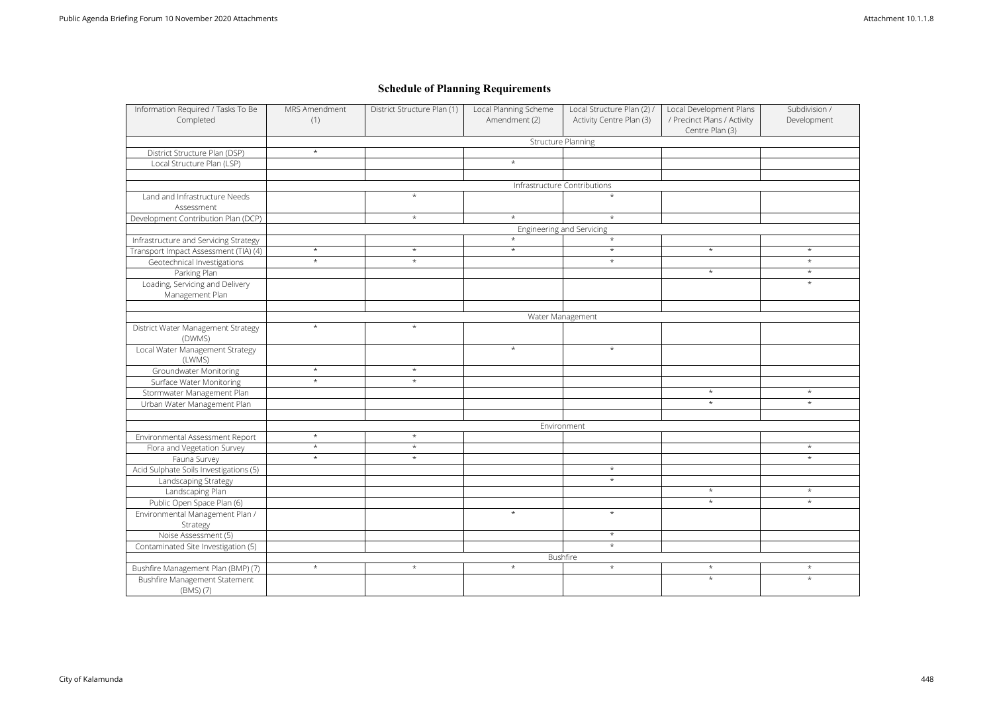| <b>Structure Planning</b><br>District Structure Plan (DSP)<br>$\star$<br>$\star$<br>Local Structure Plan (LSP)<br>Infrastructure Contributions<br>Land and Infrastructure Needs<br>$\star$<br>Assessment<br>$\star$<br>Development Contribution Plan (DCP)<br>$\star$<br>Engineering and Servicing<br>Infrastructure and Servicing Strategy<br>$\star$<br>$\star$<br>$\star$<br>Transport Impact Assessment (TIA) (4)<br>$\star$<br>$\star$<br>Geotechnical Investigations<br>$\star$<br>Parking Plan<br>Loading, Servicing and Delivery<br>Management Plan<br>Water Management<br>$\star$<br>District Water Management Strategy<br>$\star$<br>(DWMS)<br>Local Water Management Strategy<br>$\star$<br>(LWMS)<br>$\star$<br>$\star$<br><b>Groundwater Monitoring</b><br>Surface Water Monitoring<br>$\star$<br>$\star$<br>Stormwater Management Plan<br>Urban Water Management Plan<br>Environment<br>Environmental Assessment Report<br>$\star$<br>$\star$<br>$\star$<br>$\star$<br>Flora and Vegetation Survey<br>Fauna Survey<br>$\star$<br>$\star$<br>Acid Sulphate Soils Investigations (5)<br>Landscaping Strategy<br>Landscaping Plan | Centre Plan (3)<br>$\star$<br>$\star$<br>$\star$<br>$\star$<br>$\star$<br>$\star$<br>$\star$<br>$\star$<br>$\star$<br>$\star$ | $\star$<br>$\star$<br>$\star$<br>$\star$<br>$\star$<br>$\star$ |
|----------------------------------------------------------------------------------------------------------------------------------------------------------------------------------------------------------------------------------------------------------------------------------------------------------------------------------------------------------------------------------------------------------------------------------------------------------------------------------------------------------------------------------------------------------------------------------------------------------------------------------------------------------------------------------------------------------------------------------------------------------------------------------------------------------------------------------------------------------------------------------------------------------------------------------------------------------------------------------------------------------------------------------------------------------------------------------------------------------------------------------------------|-------------------------------------------------------------------------------------------------------------------------------|----------------------------------------------------------------|
|                                                                                                                                                                                                                                                                                                                                                                                                                                                                                                                                                                                                                                                                                                                                                                                                                                                                                                                                                                                                                                                                                                                                              |                                                                                                                               |                                                                |
|                                                                                                                                                                                                                                                                                                                                                                                                                                                                                                                                                                                                                                                                                                                                                                                                                                                                                                                                                                                                                                                                                                                                              |                                                                                                                               |                                                                |
|                                                                                                                                                                                                                                                                                                                                                                                                                                                                                                                                                                                                                                                                                                                                                                                                                                                                                                                                                                                                                                                                                                                                              |                                                                                                                               |                                                                |
|                                                                                                                                                                                                                                                                                                                                                                                                                                                                                                                                                                                                                                                                                                                                                                                                                                                                                                                                                                                                                                                                                                                                              |                                                                                                                               |                                                                |
|                                                                                                                                                                                                                                                                                                                                                                                                                                                                                                                                                                                                                                                                                                                                                                                                                                                                                                                                                                                                                                                                                                                                              |                                                                                                                               |                                                                |
|                                                                                                                                                                                                                                                                                                                                                                                                                                                                                                                                                                                                                                                                                                                                                                                                                                                                                                                                                                                                                                                                                                                                              |                                                                                                                               |                                                                |
|                                                                                                                                                                                                                                                                                                                                                                                                                                                                                                                                                                                                                                                                                                                                                                                                                                                                                                                                                                                                                                                                                                                                              |                                                                                                                               |                                                                |
|                                                                                                                                                                                                                                                                                                                                                                                                                                                                                                                                                                                                                                                                                                                                                                                                                                                                                                                                                                                                                                                                                                                                              |                                                                                                                               |                                                                |
|                                                                                                                                                                                                                                                                                                                                                                                                                                                                                                                                                                                                                                                                                                                                                                                                                                                                                                                                                                                                                                                                                                                                              |                                                                                                                               |                                                                |
|                                                                                                                                                                                                                                                                                                                                                                                                                                                                                                                                                                                                                                                                                                                                                                                                                                                                                                                                                                                                                                                                                                                                              |                                                                                                                               |                                                                |
|                                                                                                                                                                                                                                                                                                                                                                                                                                                                                                                                                                                                                                                                                                                                                                                                                                                                                                                                                                                                                                                                                                                                              |                                                                                                                               |                                                                |
|                                                                                                                                                                                                                                                                                                                                                                                                                                                                                                                                                                                                                                                                                                                                                                                                                                                                                                                                                                                                                                                                                                                                              |                                                                                                                               |                                                                |
|                                                                                                                                                                                                                                                                                                                                                                                                                                                                                                                                                                                                                                                                                                                                                                                                                                                                                                                                                                                                                                                                                                                                              |                                                                                                                               |                                                                |
|                                                                                                                                                                                                                                                                                                                                                                                                                                                                                                                                                                                                                                                                                                                                                                                                                                                                                                                                                                                                                                                                                                                                              |                                                                                                                               |                                                                |
|                                                                                                                                                                                                                                                                                                                                                                                                                                                                                                                                                                                                                                                                                                                                                                                                                                                                                                                                                                                                                                                                                                                                              |                                                                                                                               |                                                                |
|                                                                                                                                                                                                                                                                                                                                                                                                                                                                                                                                                                                                                                                                                                                                                                                                                                                                                                                                                                                                                                                                                                                                              |                                                                                                                               |                                                                |
|                                                                                                                                                                                                                                                                                                                                                                                                                                                                                                                                                                                                                                                                                                                                                                                                                                                                                                                                                                                                                                                                                                                                              |                                                                                                                               |                                                                |
|                                                                                                                                                                                                                                                                                                                                                                                                                                                                                                                                                                                                                                                                                                                                                                                                                                                                                                                                                                                                                                                                                                                                              |                                                                                                                               |                                                                |
|                                                                                                                                                                                                                                                                                                                                                                                                                                                                                                                                                                                                                                                                                                                                                                                                                                                                                                                                                                                                                                                                                                                                              |                                                                                                                               |                                                                |
|                                                                                                                                                                                                                                                                                                                                                                                                                                                                                                                                                                                                                                                                                                                                                                                                                                                                                                                                                                                                                                                                                                                                              |                                                                                                                               |                                                                |
|                                                                                                                                                                                                                                                                                                                                                                                                                                                                                                                                                                                                                                                                                                                                                                                                                                                                                                                                                                                                                                                                                                                                              |                                                                                                                               |                                                                |
|                                                                                                                                                                                                                                                                                                                                                                                                                                                                                                                                                                                                                                                                                                                                                                                                                                                                                                                                                                                                                                                                                                                                              |                                                                                                                               |                                                                |
|                                                                                                                                                                                                                                                                                                                                                                                                                                                                                                                                                                                                                                                                                                                                                                                                                                                                                                                                                                                                                                                                                                                                              |                                                                                                                               |                                                                |
|                                                                                                                                                                                                                                                                                                                                                                                                                                                                                                                                                                                                                                                                                                                                                                                                                                                                                                                                                                                                                                                                                                                                              |                                                                                                                               |                                                                |
|                                                                                                                                                                                                                                                                                                                                                                                                                                                                                                                                                                                                                                                                                                                                                                                                                                                                                                                                                                                                                                                                                                                                              |                                                                                                                               |                                                                |
|                                                                                                                                                                                                                                                                                                                                                                                                                                                                                                                                                                                                                                                                                                                                                                                                                                                                                                                                                                                                                                                                                                                                              |                                                                                                                               |                                                                |
|                                                                                                                                                                                                                                                                                                                                                                                                                                                                                                                                                                                                                                                                                                                                                                                                                                                                                                                                                                                                                                                                                                                                              |                                                                                                                               |                                                                |
|                                                                                                                                                                                                                                                                                                                                                                                                                                                                                                                                                                                                                                                                                                                                                                                                                                                                                                                                                                                                                                                                                                                                              |                                                                                                                               | $\star$                                                        |
|                                                                                                                                                                                                                                                                                                                                                                                                                                                                                                                                                                                                                                                                                                                                                                                                                                                                                                                                                                                                                                                                                                                                              |                                                                                                                               | $\star$                                                        |
|                                                                                                                                                                                                                                                                                                                                                                                                                                                                                                                                                                                                                                                                                                                                                                                                                                                                                                                                                                                                                                                                                                                                              | $\star$                                                                                                                       |                                                                |
|                                                                                                                                                                                                                                                                                                                                                                                                                                                                                                                                                                                                                                                                                                                                                                                                                                                                                                                                                                                                                                                                                                                                              | $\star$                                                                                                                       |                                                                |
|                                                                                                                                                                                                                                                                                                                                                                                                                                                                                                                                                                                                                                                                                                                                                                                                                                                                                                                                                                                                                                                                                                                                              | $\star$                                                                                                                       | $\star$                                                        |
| Public Open Space Plan (6)                                                                                                                                                                                                                                                                                                                                                                                                                                                                                                                                                                                                                                                                                                                                                                                                                                                                                                                                                                                                                                                                                                                   | $\star$                                                                                                                       | $\star$                                                        |
| Environmental Management Plan /<br>$\star$                                                                                                                                                                                                                                                                                                                                                                                                                                                                                                                                                                                                                                                                                                                                                                                                                                                                                                                                                                                                                                                                                                   | $\star$                                                                                                                       |                                                                |
| Strategy                                                                                                                                                                                                                                                                                                                                                                                                                                                                                                                                                                                                                                                                                                                                                                                                                                                                                                                                                                                                                                                                                                                                     |                                                                                                                               |                                                                |
| Noise Assessment (5)                                                                                                                                                                                                                                                                                                                                                                                                                                                                                                                                                                                                                                                                                                                                                                                                                                                                                                                                                                                                                                                                                                                         | $\star$                                                                                                                       |                                                                |
| Contaminated Site Investigation (5)                                                                                                                                                                                                                                                                                                                                                                                                                                                                                                                                                                                                                                                                                                                                                                                                                                                                                                                                                                                                                                                                                                          | $\star$                                                                                                                       |                                                                |
| Bushfire                                                                                                                                                                                                                                                                                                                                                                                                                                                                                                                                                                                                                                                                                                                                                                                                                                                                                                                                                                                                                                                                                                                                     |                                                                                                                               |                                                                |
| Bushfire Management Plan (BMP) (7)<br>$\star$<br>$\star$<br>$\star$                                                                                                                                                                                                                                                                                                                                                                                                                                                                                                                                                                                                                                                                                                                                                                                                                                                                                                                                                                                                                                                                          | $\star$<br>$\star$                                                                                                            | $\star$                                                        |
| Bushfire Management Statement                                                                                                                                                                                                                                                                                                                                                                                                                                                                                                                                                                                                                                                                                                                                                                                                                                                                                                                                                                                                                                                                                                                | $\star$                                                                                                                       | $\star$                                                        |
| (BMS) (7)                                                                                                                                                                                                                                                                                                                                                                                                                                                                                                                                                                                                                                                                                                                                                                                                                                                                                                                                                                                                                                                                                                                                    |                                                                                                                               |                                                                |